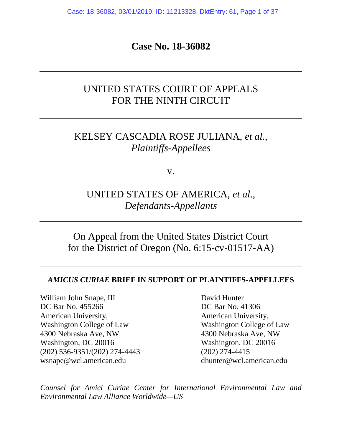Case: 18-36082, 03/01/2019, ID: 11213328, DktEntry: 61, Page 1 of 37

**Case No. 18-36082**

# UNITED STATES COURT OF APPEALS FOR THE NINTH CIRCUIT

# KELSEY CASCADIA ROSE JULIANA, *et al.*, *Plaintiffs-Appellees*

v.

UNITED STATES OF AMERICA, *et al*., *Defendants-Appellants*

On Appeal from the United States District Court for the District of Oregon (No. 6:15-cv-01517-AA)

#### *AMICUS CURIAE* **BRIEF IN SUPPORT OF PLAINTIFFS-APPELLEES**

William John Snape, III David Hunter DC Bar No. 455266 DC Bar No. 41306 American University, American University, Washington College of Law Washington College of Law 4300 Nebraska Ave, NW 4300 Nebraska Ave, NW Washington, DC 20016 Washington, DC 20016 (202) 536-9351/(202) 274-4443 (202) 274-4415 wsnape@wcl.american.edu dhunter@wcl.american.edu

*Counsel for Amici Curiae Center for International Environmental Law and Environmental Law Alliance Worldwide—US*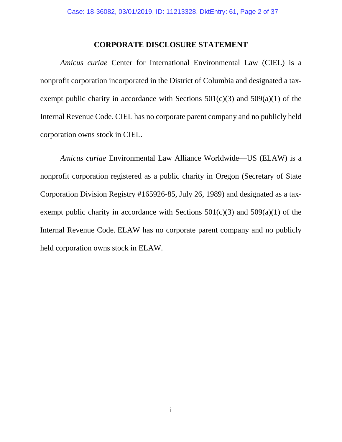#### **CORPORATE DISCLOSURE STATEMENT**

<span id="page-1-0"></span>*Amicus curiae* Center for International Environmental Law (CIEL) is a nonprofit corporation incorporated in the District of Columbia and designated a taxexempt public charity in accordance with Sections  $501(c)(3)$  and  $509(a)(1)$  of the Internal Revenue Code. CIEL has no corporate parent company and no publicly held corporation owns stock in CIEL.

*Amicus curiae* Environmental Law Alliance Worldwide—US (ELAW) is a nonprofit corporation registered as a public charity in Oregon (Secretary of State Corporation Division Registry #165926-85, July 26, 1989) and designated as a taxexempt public charity in accordance with Sections  $501(c)(3)$  and  $509(a)(1)$  of the Internal Revenue Code. ELAW has no corporate parent company and no publicly held corporation owns stock in ELAW.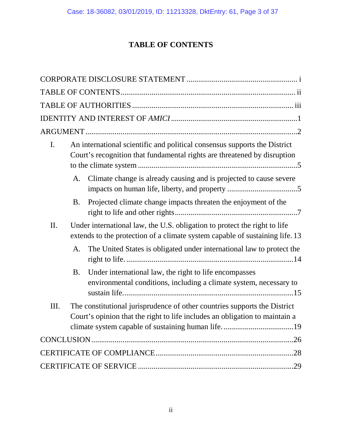# **TABLE OF CONTENTS**

<span id="page-2-0"></span>

| I. |           | An international scientific and political consensus supports the District<br>Court's recognition that fundamental rights are threatened by disruption     |
|----|-----------|-----------------------------------------------------------------------------------------------------------------------------------------------------------|
|    | A.        | Climate change is already causing and is projected to cause severe                                                                                        |
|    | <b>B.</b> | Projected climate change impacts threaten the enjoyment of the                                                                                            |
| Π. |           | Under international law, the U.S. obligation to protect the right to life<br>extends to the protection of a climate system capable of sustaining life. 13 |
|    | A.        | The United States is obligated under international law to protect the                                                                                     |
|    | B.        | Under international law, the right to life encompasses<br>environmental conditions, including a climate system, necessary to                              |
| Ш. |           | The constitutional jurisprudence of other countries supports the District<br>Court's opinion that the right to life includes an obligation to maintain a  |
|    |           |                                                                                                                                                           |
|    |           |                                                                                                                                                           |
|    |           |                                                                                                                                                           |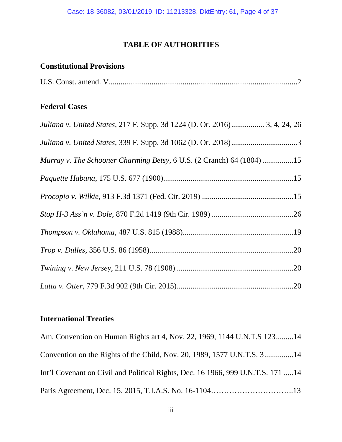### **TABLE OF AUTHORITIES**

### <span id="page-3-0"></span>**Constitutional Provisions**

| U.S. Const. amend. V |  |  |
|----------------------|--|--|
|----------------------|--|--|

### **Federal Cases**

| Juliana v. United States, 217 F. Supp. 3d 1224 (D. Or. 2016) 3, 4, 24, 26 |
|---------------------------------------------------------------------------|
|                                                                           |
| Murray v. The Schooner Charming Betsy, 6 U.S. (2 Cranch) 64 (1804) 15     |
|                                                                           |
|                                                                           |
|                                                                           |
|                                                                           |
|                                                                           |
|                                                                           |
|                                                                           |

## **International Treaties**

Am. Convention on Human Rights art 4, Nov. 22, 1969, 1144 U.N.T.S 123.........14 Convention on the Rights of the Child, Nov. 20, 1989, 1577 U.N.T.S. 3...............14 Int'l Covenant on Civil and Political Rights, Dec. 16 1966, 999 U.N.T.S. 171 .....14 Paris Agreement, Dec. 15, 2015, T.I.A.S. No. 16-1104…………………………..13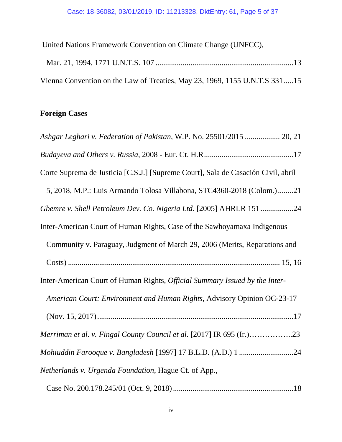United Nations Framework Convention on Climate Change (UNFCC), Mar. 21, 1994, 1771 U.N.T.S. 107 .......................................................................13 Vienna Convention on the Law of Treaties, May 23, 1969, 1155 U.N.T.S 331.....15

## **Foreign Cases**

| Ashgar Leghari v. Federation of Pakistan, W.P. No. 25501/2015  20, 21             |
|-----------------------------------------------------------------------------------|
|                                                                                   |
| Corte Suprema de Justicia [C.S.J.] [Supreme Court], Sala de Casación Civil, abril |
| 5, 2018, M.P.: Luis Armando Tolosa Villabona, STC4360-2018 (Colom.)21             |
| Gbemre v. Shell Petroleum Dev. Co. Nigeria Ltd. [2005] AHRLR 15124                |
| Inter-American Court of Human Rights, Case of the Sawhoyamaxa Indigenous          |
| Community v. Paraguay, Judgment of March 29, 2006 (Merits, Reparations and        |
|                                                                                   |
| Inter-American Court of Human Rights, Official Summary Issued by the Inter-       |
| American Court: Environment and Human Rights, Advisory Opinion OC-23-17           |
|                                                                                   |
| Merriman et al. v. Fingal County Council et al. [2017] IR 695 (Ir.)23             |
| Mohiuddin Farooque v. Bangladesh [1997] 17 B.L.D. (A.D.) 1 24                     |
| Netherlands v. Urgenda Foundation, Hague Ct. of App.,                             |
|                                                                                   |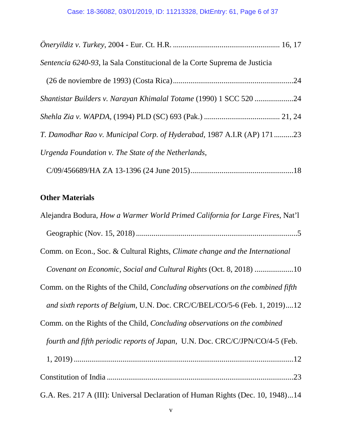| Sentencia 6240-93, la Sala Constitucional de la Corte Suprema de Justicia |  |
|---------------------------------------------------------------------------|--|
|                                                                           |  |
| Shantistar Builders v. Narayan Khimalal Totame (1990) 1 SCC 520 24        |  |
|                                                                           |  |
| T. Damodhar Rao v. Municipal Corp. of Hyderabad, 1987 A.I.R (AP) 171 23   |  |
| Urgenda Foundation v. The State of the Netherlands,                       |  |
|                                                                           |  |

# **Other Materials**

| Alejandra Bodura, How a Warmer World Primed California for Large Fires, Nat'l          |
|----------------------------------------------------------------------------------------|
|                                                                                        |
| Comm. on Econ., Soc. & Cultural Rights, Climate change and the International           |
| Covenant on Economic, Social and Cultural Rights (Oct. 8, 2018) 10                     |
| Comm. on the Rights of the Child, <i>Concluding observations on the combined fifth</i> |
| and sixth reports of Belgium, U.N. Doc. CRC/C/BEL/CO/5-6 (Feb. 1, 2019)12              |
| Comm. on the Rights of the Child, <i>Concluding observations on the combined</i>       |
| fourth and fifth periodic reports of Japan, U.N. Doc. CRC/C/JPN/CO/4-5 (Feb.           |
|                                                                                        |
|                                                                                        |
| G.A. Res. 217 A (III): Universal Declaration of Human Rights (Dec. 10, 1948)14         |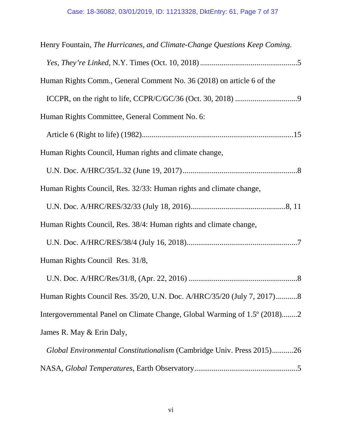| Henry Fountain, The Hurricanes, and Climate-Change Questions Keep Coming. |
|---------------------------------------------------------------------------|
|                                                                           |
| Human Rights Comm., General Comment No. 36 (2018) on article 6 of the     |
|                                                                           |
| Human Rights Committee, General Comment No. 6:                            |
|                                                                           |
| Human Rights Council, Human rights and climate change,                    |
|                                                                           |
| Human Rights Council, Res. 32/33: Human rights and climate change,        |
|                                                                           |
| Human Rights Council, Res. 38/4: Human rights and climate change,         |
|                                                                           |
| Human Rights Council Res. 31/8,                                           |
|                                                                           |
| Human Rights Council Res. 35/20, U.N. Doc. A/HRC/35/20 (July 7, 2017)8    |
| Intergovernmental Panel on Climate Change, Global Warming of 1.5° (2018)2 |
| James R. May & Erin Daly,                                                 |
| Global Environmental Constitutionalism (Cambridge Univ. Press 2015)26     |

NASA, *Global Temperatures*, Earth Observatory.....................................................5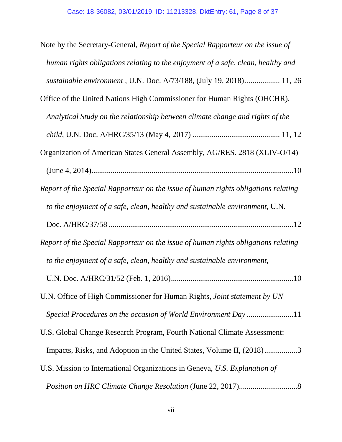| Note by the Secretary-General, Report of the Special Rapporteur on the issue of    |
|------------------------------------------------------------------------------------|
| human rights obligations relating to the enjoyment of a safe, clean, healthy and   |
| sustainable environment, U.N. Doc. A/73/188, (July 19, 2018) 11, 26                |
| Office of the United Nations High Commissioner for Human Rights (OHCHR),           |
| Analytical Study on the relationship between climate change and rights of the      |
|                                                                                    |
| Organization of American States General Assembly, AG/RES. 2818 (XLIV-O/14)         |
|                                                                                    |
| Report of the Special Rapporteur on the issue of human rights obligations relating |
| to the enjoyment of a safe, clean, healthy and sustainable environment, U.N.       |
|                                                                                    |
| Report of the Special Rapporteur on the issue of human rights obligations relating |
| to the enjoyment of a safe, clean, healthy and sustainable environment,            |
|                                                                                    |
| U.N. Office of High Commissioner for Human Rights, Joint statement by UN           |
| Special Procedures on the occasion of World Environment Day11                      |
| U.S. Global Change Research Program, Fourth National Climate Assessment:           |
| Impacts, Risks, and Adoption in the United States, Volume II, (2018)3              |
| U.S. Mission to International Organizations in Geneva, U.S. Explanation of         |
|                                                                                    |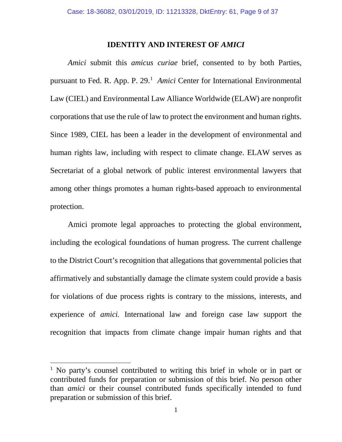#### **IDENTITY AND INTEREST OF** *AMICI*

<span id="page-8-0"></span>*Amici* submit this *amicus curiae* brief, consented to by both Parties, pursuant to Fed. R. App. P. 29. [1](#page-8-1) *Amici* Center for International Environmental Law (CIEL) and Environmental Law Alliance Worldwide (ELAW) are nonprofit corporations that use the rule of law to protect the environment and human rights. Since 1989, CIEL has been a leader in the development of environmental and human rights law, including with respect to climate change. ELAW serves as Secretariat of a global network of public interest environmental lawyers that among other things promotes a human rights-based approach to environmental protection.

Amici promote legal approaches to protecting the global environment, including the ecological foundations of human progress. The current challenge to the District Court's recognition that allegations that governmental policies that affirmatively and substantially damage the climate system could provide a basis for violations of due process rights is contrary to the missions, interests, and experience of *amici.* International law and foreign case law support the recognition that impacts from climate change impair human rights and that

l

<span id="page-8-1"></span><sup>&</sup>lt;sup>1</sup> No party's counsel contributed to writing this brief in whole or in part or contributed funds for preparation or submission of this brief. No person other than *amici* or their counsel contributed funds specifically intended to fund preparation or submission of this brief.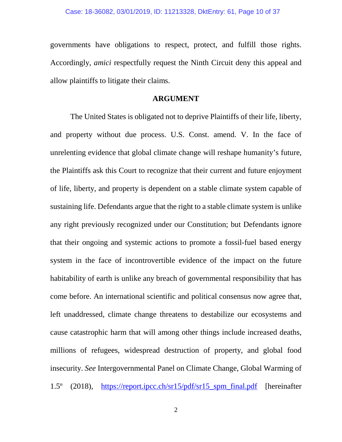governments have obligations to respect, protect, and fulfill those rights. Accordingly, *amici* respectfully request the Ninth Circuit deny this appeal and allow plaintiffs to litigate their claims.

#### **ARGUMENT**

<span id="page-9-0"></span>The United States is obligated not to deprive Plaintiffs of their life, liberty, and property without due process. U.S. Const. amend. V. In the face of unrelenting evidence that global climate change will reshape humanity's future, the Plaintiffs ask this Court to recognize that their current and future enjoyment of life, liberty, and property is dependent on a stable climate system capable of sustaining life. Defendants argue that the right to a stable climate system is unlike any right previously recognized under our Constitution; but Defendants ignore that their ongoing and systemic actions to promote a fossil-fuel based energy system in the face of incontrovertible evidence of the impact on the future habitability of earth is unlike any breach of governmental responsibility that has come before. An international scientific and political consensus now agree that, left unaddressed, climate change threatens to destabilize our ecosystems and cause catastrophic harm that will among other things include increased deaths, millions of refugees, widespread destruction of property, and global food insecurity. *See* Intergovernmental Panel on Climate Change, Global Warming of 1.5º (2018), [https://report.ipcc.ch/sr15/pdf/sr15\\_spm\\_final.pdf](https://report.ipcc.ch/sr15/pdf/sr15_spm_final.pdf) [hereinafter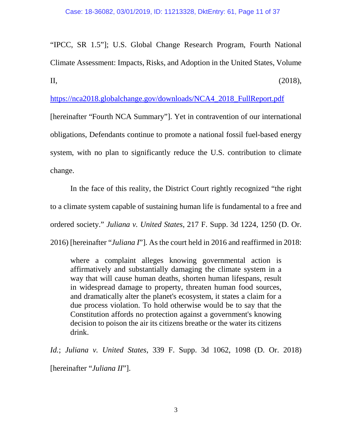"IPCC, SR 1.5"]; U.S. Global Change Research Program, Fourth National Climate Assessment: Impacts, Risks, and Adoption in the United States, Volume II,  $(2018)$ ,

[https://nca2018.globalchange.gov/downloads/NCA4\\_2018\\_FullReport.pdf](https://nca2018.globalchange.gov/downloads/NCA4_2018_FullReport.pdf)

[hereinafter "Fourth NCA Summary"]. Yet in contravention of our international obligations, Defendants continue to promote a national fossil fuel-based energy system, with no plan to significantly reduce the U.S. contribution to climate change.

In the face of this reality, the District Court rightly recognized "the right to a climate system capable of sustaining human life is fundamental to a free and ordered society." *Juliana v. United States*, 217 F. Supp. 3d 1224, 1250 (D. Or.

2016) [hereinafter "*Juliana I*"]. As the court held in 2016 and reaffirmed in 2018:

where a complaint alleges knowing governmental action is affirmatively and substantially damaging the climate system in a way that will cause human deaths, shorten human lifespans, result in widespread damage to property, threaten human food sources, and dramatically alter the planet's ecosystem, it states a claim for a due process violation. To hold otherwise would be to say that the Constitution affords no protection against a government's knowing decision to poison the air its citizens breathe or the water its citizens drink.

*Id.*; *Juliana v. United States*, 339 F. Supp. 3d 1062, 1098 (D. Or. 2018) [hereinafter "*Juliana II*"].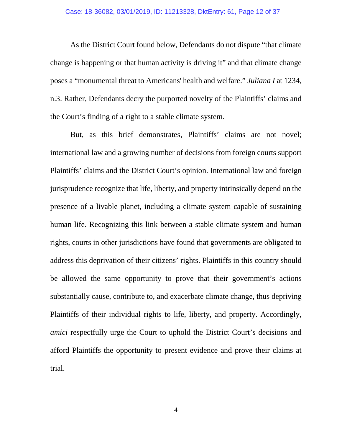As the District Court found below, Defendants do not dispute "that climate change is happening or that human activity is driving it" and that climate change poses a "monumental threat to Americans' health and welfare." *Juliana I* at 1234, n.3. Rather, Defendants decry the purported novelty of the Plaintiffs' claims and the Court's finding of a right to a stable climate system.

But, as this brief demonstrates, Plaintiffs' claims are not novel; international law and a growing number of decisions from foreign courts support Plaintiffs' claims and the District Court's opinion. International law and foreign jurisprudence recognize that life, liberty, and property intrinsically depend on the presence of a livable planet, including a climate system capable of sustaining human life. Recognizing this link between a stable climate system and human rights, courts in other jurisdictions have found that governments are obligated to address this deprivation of their citizens' rights. Plaintiffs in this country should be allowed the same opportunity to prove that their government's actions substantially cause, contribute to, and exacerbate climate change, thus depriving Plaintiffs of their individual rights to life, liberty, and property. Accordingly, *amici* respectfully urge the Court to uphold the District Court's decisions and afford Plaintiffs the opportunity to present evidence and prove their claims at trial.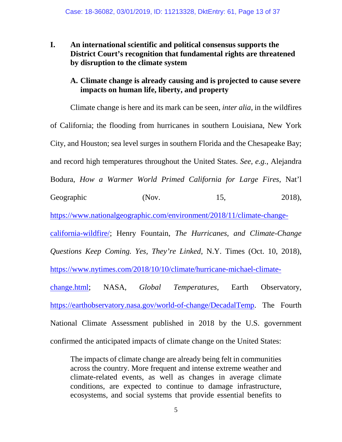<span id="page-12-0"></span>**I. An international scientific and political consensus supports the District Court's recognition that fundamental rights are threatened by disruption to the climate system** 

### <span id="page-12-1"></span>**A. Climate change is already causing and is projected to cause severe impacts on human life, liberty, and property**

Climate change is here and its mark can be seen, *inter alia,* in the wildfires of California; the flooding from hurricanes in southern Louisiana, New York City, and Houston; sea level surges in southern Florida and the Chesapeake Bay; and record high temperatures throughout the United States. *See, e.g.*, Alejandra Bodura, *How a Warmer World Primed California for Large Fires*, Nat'l Geographic (Nov. 15, 2018), [https://www.nationalgeographic.com/environment/2018/11/climate-change](https://www.nationalgeographic.com/environment/2018/11/climate-change-california-wildfire/)[california-wildfire/;](https://www.nationalgeographic.com/environment/2018/11/climate-change-california-wildfire/) Henry Fountain, *The Hurricanes, and Climate-Change Questions Keep Coming. Yes, They're Linked*, N.Y. Times (Oct. 10, 2018), [https://www.nytimes.com/2018/10/10/climate/hurricane-michael-climate](https://www.nytimes.com/2018/10/10/climate/hurricane-michael-climate-change.html)[change.html;](https://www.nytimes.com/2018/10/10/climate/hurricane-michael-climate-change.html) NASA, *Global Temperatures*, Earth Observatory, [https://earthobservatory.nasa.gov/world-of-change/DecadalTemp.](https://earthobservatory.nasa.gov/world-of-change/DecadalTemp) The Fourth National Climate Assessment published in 2018 by the U.S. government confirmed the anticipated impacts of climate change on the United States:

The impacts of climate change are already being felt in communities across the country. More frequent and intense extreme weather and climate-related events, as well as changes in average climate conditions, are expected to continue to damage infrastructure, ecosystems, and social systems that provide essential benefits to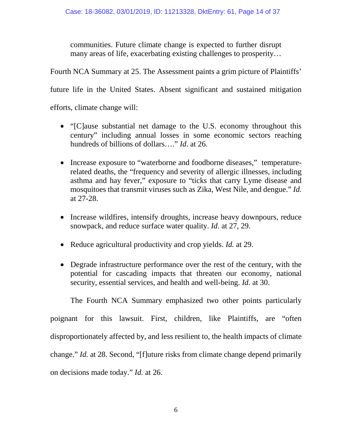communities. Future climate change is expected to further disrupt many areas of life, exacerbating existing challenges to prosperity…

Fourth NCA Summary at 25. The Assessment paints a grim picture of Plaintiffs'

future life in the United States. Absent significant and sustained mitigation

efforts, climate change will:

- "[C]ause substantial net damage to the U.S. economy throughout this century" including annual losses in some economic sectors reaching hundreds of billions of dollars…." *Id*. at 26.
- Increase exposure to "waterborne and foodborne diseases," temperaturerelated deaths, the "frequency and severity of allergic illnesses, including asthma and hay fever," exposure to "ticks that carry Lyme disease and mosquitoes that transmit viruses such as Zika, West Nile, and dengue." *Id.* at 27-28.
- Increase wildfires, intensify droughts, increase heavy downpours, reduce snowpack, and reduce surface water quality. *Id.* at 27, 29.
- Reduce agricultural productivity and crop yields. *Id.* at 29.
- Degrade infrastructure performance over the rest of the century, with the potential for cascading impacts that threaten our economy, national security, essential services, and health and well-being. *Id.* at 30.

The Fourth NCA Summary emphasized two other points particularly poignant for this lawsuit. First, children, like Plaintiffs, are "often disproportionately affected by, and less resilient to, the health impacts of climate change." *Id.* at 28. Second, "[f]uture risks from climate change depend primarily on decisions made today." *Id.* at 26.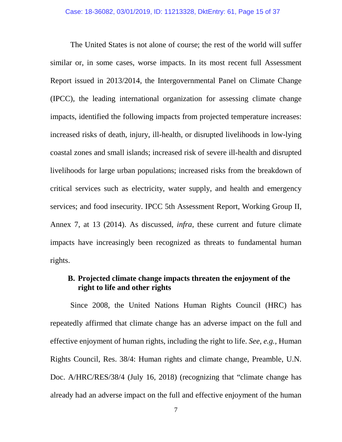The United States is not alone of course; the rest of the world will suffer similar or, in some cases, worse impacts. In its most recent full Assessment Report issued in 2013/2014, the Intergovernmental Panel on Climate Change (IPCC), the leading international organization for assessing climate change impacts, identified the following impacts from projected temperature increases: increased risks of death, injury, ill-health, or disrupted livelihoods in low-lying coastal zones and small islands; increased risk of severe ill-health and disrupted livelihoods for large urban populations; increased risks from the breakdown of critical services such as electricity, water supply, and health and emergency services; and food insecurity. IPCC 5th Assessment Report, Working Group II, Annex 7, at 13 (2014). As discussed, *infra*, these current and future climate impacts have increasingly been recognized as threats to fundamental human rights.

### <span id="page-14-0"></span>**B. Projected climate change impacts threaten the enjoyment of the right to life and other rights**

Since 2008, the United Nations Human Rights Council (HRC) has repeatedly affirmed that climate change has an adverse impact on the full and effective enjoyment of human rights, including the right to life. *See, e.g.,* Human Rights Council, Res. 38/4: Human rights and climate change, Preamble, U.N. Doc. A/HRC/RES/38/4 (July 16, 2018) (recognizing that "climate change has already had an adverse impact on the full and effective enjoyment of the human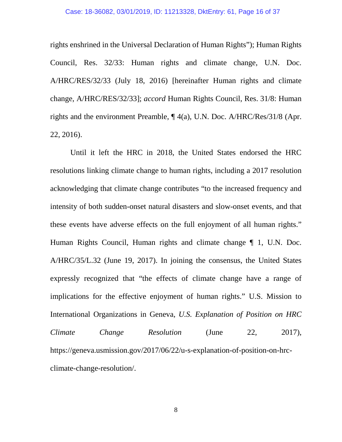#### Case: 18-36082, 03/01/2019, ID: 11213328, DktEntry: 61, Page 16 of 37

rights enshrined in the Universal Declaration of Human Rights"); Human Rights Council, Res. 32/33: Human rights and climate change, U.N. Doc. A/HRC/RES/32/33 (July 18, 2016) [hereinafter Human rights and climate change, A/HRC/RES/32/33]; *accord* Human Rights Council, Res. 31/8: Human rights and the environment Preamble, ¶ 4(a), U.N. Doc. A/HRC/Res/31/8 (Apr. 22, 2016).

Until it left the HRC in 2018, the United States endorsed the HRC resolutions linking climate change to human rights, including a 2017 resolution acknowledging that climate change contributes "to the increased frequency and intensity of both sudden-onset natural disasters and slow-onset events, and that these events have adverse effects on the full enjoyment of all human rights." Human Rights Council, Human rights and climate change ¶ 1, U.N. Doc. A/HRC/35/L.32 (June 19, 2017). In joining the consensus, the United States expressly recognized that "the effects of climate change have a range of implications for the effective enjoyment of human rights." U.S. Mission to International Organizations in Geneva, *U.S. Explanation of Position on HRC Climate Change Resolution* (June 22, 2017), https://geneva.usmission.gov/2017/06/22/u-s-explanation-of-position-on-hrcclimate-change-resolution/.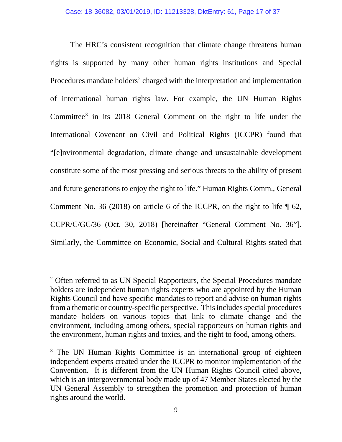The HRC's consistent recognition that climate change threatens human rights is supported by many other human rights institutions and Special Procedures mandate holders<sup>2</sup> charged with the interpretation and implementation of international human rights law. For example, the UN Human Rights Committee<sup>[3](#page-16-1)</sup> in its 2018 General Comment on the right to life under the International Covenant on Civil and Political Rights (ICCPR) found that "[e]nvironmental degradation, climate change and unsustainable development constitute some of the most pressing and serious threats to the ability of present and future generations to enjoy the right to life." Human Rights Comm., General Comment No. 36 (2018) on article 6 of the ICCPR, on the right to life  $\P$  62, CCPR/C/GC/36 (Oct. 30, 2018) [hereinafter "General Comment No. 36"]. Similarly, the Committee on Economic, Social and Cultural Rights stated that

l

<span id="page-16-0"></span><sup>&</sup>lt;sup>2</sup> Often referred to as UN Special Rapporteurs, the Special Procedures mandate holders are independent human rights experts who are appointed by the Human Rights Council and have specific mandates to report and advise on human rights from a thematic or country-specific perspective. This includes special procedures mandate holders on various topics that link to climate change and the environment, including among others, special rapporteurs on human rights and the environment, human rights and toxics, and the right to food, among others.

<span id="page-16-1"></span><sup>&</sup>lt;sup>3</sup> The UN Human Rights Committee is an international group of eighteen independent experts created under the ICCPR to monitor implementation of the Convention. It is different from the UN Human Rights Council cited above, which is an intergovernmental body made up of 47 Member States elected by the UN General Assembly to strengthen the promotion and protection of human rights around the world.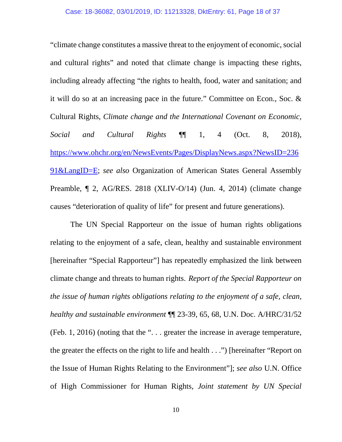"climate change constitutes a massive threat to the enjoyment of economic, social and cultural rights" and noted that climate change is impacting these rights, including already affecting "the rights to health, food, water and sanitation; and it will do so at an increasing pace in the future." Committee on Econ., Soc. & Cultural Rights, *Climate change and the International Covenant on Economic, Social and Cultural Rights* ¶¶ 1, 4 (Oct. 8, 2018), [https://www.ohchr.org/en/NewsEvents/Pages/DisplayNews.aspx?NewsID=236](https://www.ohchr.org/en/NewsEvents/Pages/DisplayNews.aspx?NewsID=23691&LangID=E) [91&LangID=E;](https://www.ohchr.org/en/NewsEvents/Pages/DisplayNews.aspx?NewsID=23691&LangID=E) *see also* Organization of American States General Assembly Preamble, ¶ 2, AG/RES. 2818 (XLIV-O/14) (Jun. 4, 2014) (climate change causes "deterioration of quality of life" for present and future generations).

The UN Special Rapporteur on the issue of human rights obligations relating to the enjoyment of a safe, clean, healthy and sustainable environment [hereinafter "Special Rapporteur"] has repeatedly emphasized the link between climate change and threats to human rights. *Report of the Special Rapporteur on the issue of human rights obligations relating to the enjoyment of a safe, clean, healthy and sustainable environment* ¶¶ 23-39, 65, 68, U.N. Doc. A/HRC/31/52 (Feb. 1, 2016) (noting that the ". . . greater the increase in average temperature, the greater the effects on the right to life and health . . .") [hereinafter "Report on the Issue of Human Rights Relating to the Environment"]; *see also* U.N. Office of High Commissioner for Human Rights, *Joint statement by UN Special*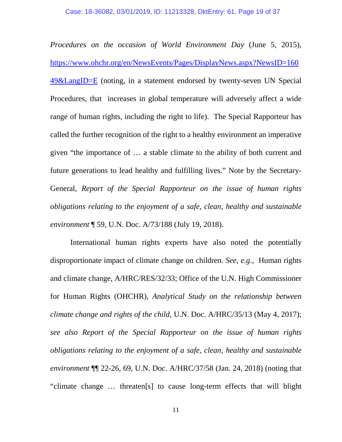*Procedures on the occasion of World Environment Day* (June 5, 2015), [https://www.ohchr.org/en/NewsEvents/Pages/DisplayNews.aspx?NewsID=160](https://www.ohchr.org/en/NewsEvents/Pages/DisplayNews.aspx?NewsID=16049&LangID=E) [49&LangID=E](https://www.ohchr.org/en/NewsEvents/Pages/DisplayNews.aspx?NewsID=16049&LangID=E) (noting, in a statement endorsed by twenty-seven UN Special Procedures, that increases in global temperature will adversely affect a wide range of human rights, including the right to life). The Special Rapporteur has called the further recognition of the right to a healthy environment an imperative given "the importance of … a stable climate to the ability of both current and future generations to lead healthy and fulfilling lives." Note by the Secretary-General, *Report of the Special Rapporteur on the issue of human rights obligations relating to the enjoyment of a safe, clean, healthy and sustainable environment* ¶ 59, U.N. Doc. A/73/188 (July 19, 2018).

International human rights experts have also noted the potentially disproportionate impact of climate change on children. *See, e.g*., Human rights and climate change, A/HRC/RES/32/33; Office of the U.N. High Commissioner for Human Rights (OHCHR), *Analytical Study on the relationship between climate change and rights of the child*, U.N. Doc. A/HRC/35/13 (May 4, 2017); *see also Report of the Special Rapporteur on the issue of human rights obligations relating to the enjoyment of a safe, clean, healthy and sustainable environment* ¶¶ 22-26, 69, U.N. Doc. A/HRC/37/58 (Jan. 24, 2018) (noting that "climate change … threaten[s] to cause long-term effects that will blight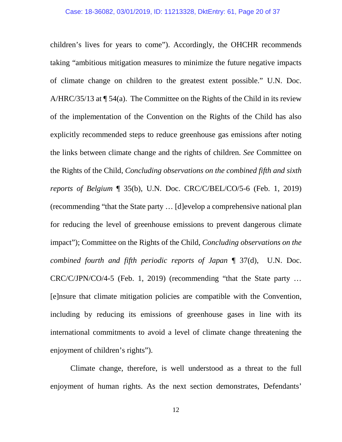children's lives for years to come"). Accordingly, the OHCHR recommends taking "ambitious mitigation measures to minimize the future negative impacts of climate change on children to the greatest extent possible." U.N. Doc. A/HRC/35/13 at  $\P$  54(a). The Committee on the Rights of the Child in its review of the implementation of the Convention on the Rights of the Child has also explicitly recommended steps to reduce greenhouse gas emissions after noting the links between climate change and the rights of children. *See* Committee on the Rights of the Child, *Concluding observations on the combined fifth and sixth reports of Belgium* ¶ 35(b), U.N. Doc. CRC/C/BEL/CO/5-6 (Feb. 1, 2019) (recommending "that the State party … [d]evelop a comprehensive national plan for reducing the level of greenhouse emissions to prevent dangerous climate impact"); Committee on the Rights of the Child, *Concluding observations on the combined fourth and fifth periodic reports of Japan* ¶ 37(d), U.N. Doc. CRC/C/JPN/CO/4-5 (Feb. 1, 2019) (recommending "that the State party … [e]nsure that climate mitigation policies are compatible with the Convention, including by reducing its emissions of greenhouse gases in line with its international commitments to avoid a level of climate change threatening the enjoyment of children's rights").

Climate change, therefore, is well understood as a threat to the full enjoyment of human rights. As the next section demonstrates, Defendants'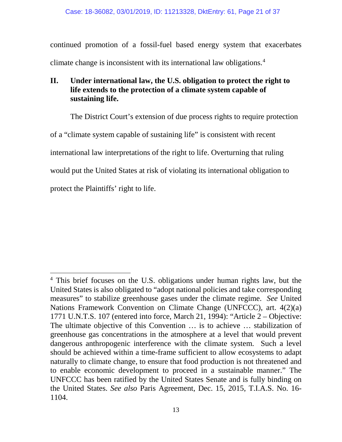continued promotion of a fossil-fuel based energy system that exacerbates climate change is inconsistent with its international law obligations.[4](#page-20-1)

### <span id="page-20-0"></span>**II. Under international law, the U.S. obligation to protect the right to life extends to the protection of a climate system capable of sustaining life.**

The District Court's extension of due process rights to require protection

of a "climate system capable of sustaining life" is consistent with recent

international law interpretations of the right to life. Overturning that ruling

would put the United States at risk of violating its international obligation to

protect the Plaintiffs' right to life.

l

<span id="page-20-1"></span><sup>&</sup>lt;sup>4</sup> This brief focuses on the U.S. obligations under human rights law, but the United States is also obligated to "adopt national policies and take corresponding measures" to stabilize greenhouse gases under the climate regime. *See* United Nations Framework Convention on Climate Change (UNFCCC), art. 4(2)(a) 1771 U.N.T.S. 107 (entered into force, March 21, 1994): "Article 2 – Objective: The ultimate objective of this Convention … is to achieve … stabilization of greenhouse gas concentrations in the atmosphere at a level that would prevent dangerous anthropogenic interference with the climate system. Such a level should be achieved within a time-frame sufficient to allow ecosystems to adapt naturally to climate change, to ensure that food production is not threatened and to enable economic development to proceed in a sustainable manner." The UNFCCC has been ratified by the United States Senate and is fully binding on the United States. *See also* Paris Agreement, Dec. 15, 2015, T.I.A.S. No. 16- 1104.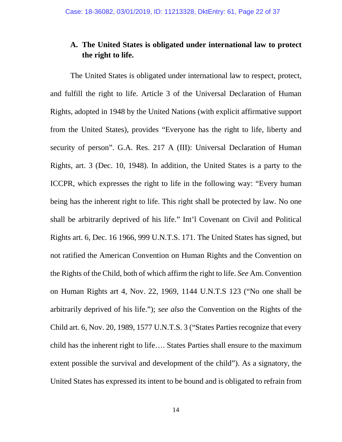## <span id="page-21-0"></span>**A. The United States is obligated under international law to protect the right to life.**

The United States is obligated under international law to respect, protect, and fulfill the right to life. Article 3 of the Universal Declaration of Human Rights, adopted in 1948 by the United Nations (with explicit affirmative support from the United States), provides "Everyone has the right to life, liberty and security of person". G.A. Res. 217 A (III): Universal Declaration of Human Rights, art. 3 (Dec. 10, 1948). In addition, the United States is a party to the ICCPR, which expresses the right to life in the following way: "Every human being has the inherent right to life. This right shall be protected by law. No one shall be arbitrarily deprived of his life." Int'l Covenant on Civil and Political Rights art. 6, Dec. 16 1966, 999 U.N.T.S. 171. The United States has signed, but not ratified the American Convention on Human Rights and the Convention on the Rights of the Child, both of which affirm the right to life. *See* Am. Convention on Human Rights art 4, Nov. 22, 1969, 1144 U.N.T.S 123 ("No one shall be arbitrarily deprived of his life."); *see also* the Convention on the Rights of the Child art. 6, Nov. 20, 1989, 1577 U.N.T.S. 3 ("States Parties recognize that every child has the inherent right to life…. States Parties shall ensure to the maximum extent possible the survival and development of the child"). As a signatory, the United States has expressed its intent to be bound and is obligated to refrain from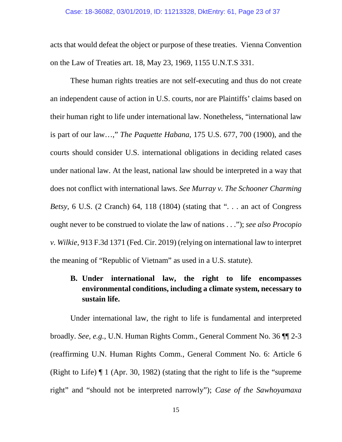acts that would defeat the object or purpose of these treaties. Vienna Convention on the Law of Treaties art. 18, May 23, 1969, 1155 U.N.T.S 331.

These human rights treaties are not self-executing and thus do not create an independent cause of action in U.S. courts, nor are Plaintiffs' claims based on their human right to life under international law. Nonetheless, "international law is part of our law…," *The Paquette Habana*, 175 U.S. 677, 700 (1900), and the courts should consider U.S. international obligations in deciding related cases under national law. At the least, national law should be interpreted in a way that does not conflict with international laws. *See Murray v. The Schooner Charming Betsy,* 6 U.S. (2 Cranch) 64, 118 (1804) (stating that ". . . an act of Congress ought never to be construed to violate the law of nations . . ."); *see also Procopio v. Wilkie,* 913 F.3d 1371 (Fed. Cir. 2019) (relying on international law to interpret the meaning of "Republic of Vietnam" as used in a U.S. statute).

# <span id="page-22-0"></span>**B. Under international law, the right to life encompasses environmental conditions, including a climate system, necessary to sustain life.**

Under international law, the right to life is fundamental and interpreted broadly. *See, e.g.*, U.N. Human Rights Comm., General Comment No. 36 ¶¶ 2-3 (reaffirming U.N. Human Rights Comm., General Comment No. 6: Article 6 (Right to Life) ¶ 1 (Apr. 30, 1982) (stating that the right to life is the "supreme right" and "should not be interpreted narrowly"); *Case of the Sawhoyamaxa*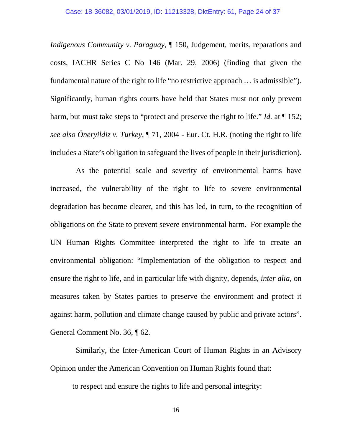*Indigenous Community v. Paraguay*, ¶ 150, Judgement, merits, reparations and costs, IACHR Series C No 146 (Mar. 29, 2006) (finding that given the fundamental nature of the right to life "no restrictive approach … is admissible"). Significantly, human rights courts have held that States must not only prevent harm, but must take steps to "protect and preserve the right to life." *Id.* at  $\P$  152; *see also Öneryildiz v. Turkey*, ¶ 71, 2004 - Eur. Ct. H.R. (noting the right to life includes a State's obligation to safeguard the lives of people in their jurisdiction).

As the potential scale and severity of environmental harms have increased, the vulnerability of the right to life to severe environmental degradation has become clearer, and this has led, in turn, to the recognition of obligations on the State to prevent severe environmental harm. For example the UN Human Rights Committee interpreted the right to life to create an environmental obligation: "Implementation of the obligation to respect and ensure the right to life, and in particular life with dignity, depends, *inter alia,* on measures taken by States parties to preserve the environment and protect it against harm, pollution and climate change caused by public and private actors". General Comment No. 36, ¶ 62.

Similarly, the Inter-American Court of Human Rights in an Advisory Opinion under the American Convention on Human Rights found that:

to respect and ensure the rights to life and personal integrity:

16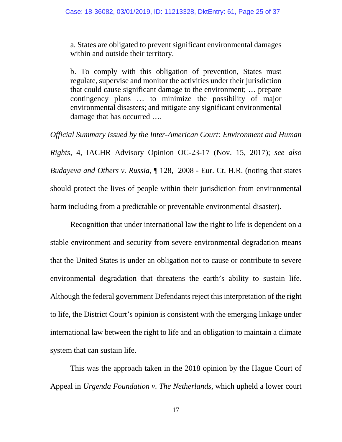a. States are obligated to prevent significant environmental damages within and outside their territory.

b. To comply with this obligation of prevention, States must regulate, supervise and monitor the activities under their jurisdiction that could cause significant damage to the environment; … prepare contingency plans … to minimize the possibility of major environmental disasters; and mitigate any significant environmental damage that has occurred ….

*Official Summary Issued by the Inter-American Court: Environment and Human Rights*, 4, IACHR Advisory Opinion OC-23-17 (Nov. 15, 2017); *see also Budayeva and Others v. Russia*, ¶ 128, 2008 - Eur. Ct. H.R. (noting that states should protect the lives of people within their jurisdiction from environmental harm including from a predictable or preventable environmental disaster).

Recognition that under international law the right to life is dependent on a stable environment and security from severe environmental degradation means that the United States is under an obligation not to cause or contribute to severe environmental degradation that threatens the earth's ability to sustain life. Although the federal government Defendants reject this interpretation of the right to life, the District Court's opinion is consistent with the emerging linkage under international law between the right to life and an obligation to maintain a climate system that can sustain life.

This was the approach taken in the 2018 opinion by the Hague Court of Appeal in *Urgenda Foundation v. The Netherlands,* which upheld a lower court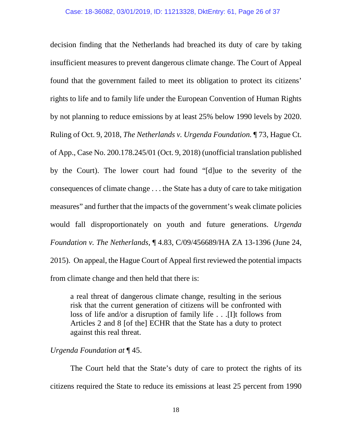decision finding that the Netherlands had breached its duty of care by taking insufficient measures to prevent dangerous climate change. The Court of Appeal found that the government failed to meet its obligation to protect its citizens' rights to life and to family life under the European Convention of Human Rights by not planning to reduce emissions by at least 25% below 1990 levels by 2020. Ruling of Oct. 9, 2018, *The Netherlands v. Urgenda Foundation.* ¶ 73*,* Hague Ct. of App., Case No. 200.178.245/01 (Oct. 9, 2018) (unofficial translation published by the Court). The lower court had found "[d]ue to the severity of the consequences of climate change . . . the State has a duty of care to take mitigation measures" and further that the impacts of the government's weak climate policies would fall disproportionately on youth and future generations. *Urgenda Foundation v. The Netherlands*, ¶ 4.83, C/09/456689/HA ZA 13-1396 (June 24, 2015). On appeal, the Hague Court of Appeal first reviewed the potential impacts from climate change and then held that there is:

a real threat of dangerous climate change, resulting in the serious risk that the current generation of citizens will be confronted with loss of life and/or a disruption of family life . . .[I]t follows from Articles 2 and 8 [of the] ECHR that the State has a duty to protect against this real threat.

*Urgenda Foundation at* ¶ 45.

The Court held that the State's duty of care to protect the rights of its citizens required the State to reduce its emissions at least 25 percent from 1990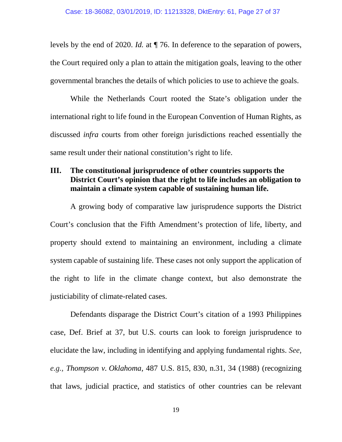levels by the end of 2020. *Id.* at ¶ 76. In deference to the separation of powers, the Court required only a plan to attain the mitigation goals, leaving to the other governmental branches the details of which policies to use to achieve the goals.

While the Netherlands Court rooted the State's obligation under the international right to life found in the European Convention of Human Rights, as discussed *infra* courts from other foreign jurisdictions reached essentially the same result under their national constitution's right to life.

### <span id="page-26-0"></span>**III. The constitutional jurisprudence of other countries supports the District Court's opinion that the right to life includes an obligation to maintain a climate system capable of sustaining human life.**

A growing body of comparative law jurisprudence supports the District Court's conclusion that the Fifth Amendment's protection of life, liberty, and property should extend to maintaining an environment, including a climate system capable of sustaining life. These cases not only support the application of the right to life in the climate change context, but also demonstrate the justiciability of climate-related cases.

Defendants disparage the District Court's citation of a 1993 Philippines case, Def. Brief at 37, but U.S. courts can look to foreign jurisprudence to elucidate the law, including in identifying and applying fundamental rights. *See, e.g., Thompson v. Oklahoma*, 487 U.S. 815, 830, n.31, 34 (1988) (recognizing that laws, judicial practice, and statistics of other countries can be relevant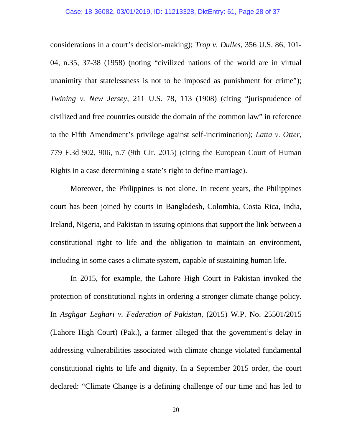considerations in a court's decision-making); *Trop v. Dulles*, 356 U.S. 86, 101- 04, n.35, 37-38 (1958) (noting "civilized nations of the world are in virtual unanimity that statelessness is not to be imposed as punishment for crime"); *Twining v. New Jersey*, 211 U.S. 78, 113 (1908) (citing "jurisprudence of civilized and free countries outside the domain of the common law" in reference to the Fifth Amendment's privilege against self-incrimination); *Latta v. Otter*, 779 F.3d 902, 906, n.7 (9th Cir. 2015) (citing the European Court of Human Rights in a case determining a state's right to define marriage).

Moreover, the Philippines is not alone. In recent years, the Philippines court has been joined by courts in Bangladesh, Colombia, Costa Rica, India, Ireland, Nigeria, and Pakistan in issuing opinions that support the link between a constitutional right to life and the obligation to maintain an environment, including in some cases a climate system, capable of sustaining human life.

In 2015, for example, the Lahore High Court in Pakistan invoked the protection of constitutional rights in ordering a stronger climate change policy. In *Asghgar Leghari v. Federation of Pakistan*, (2015) W.P. No. 25501/2015 (Lahore High Court) (Pak.), a farmer alleged that the government's delay in addressing vulnerabilities associated with climate change violated fundamental constitutional rights to life and dignity. In a September 2015 order, the court declared: "Climate Change is a defining challenge of our time and has led to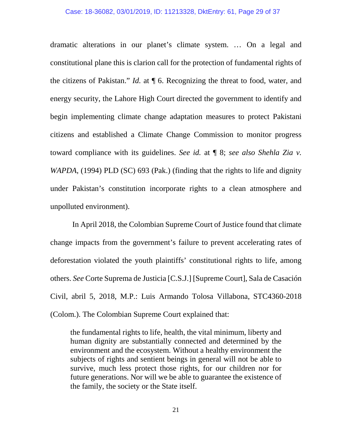dramatic alterations in our planet's climate system. … On a legal and constitutional plane this is clarion call for the protection of fundamental rights of the citizens of Pakistan." *Id.* at ¶ 6. Recognizing the threat to food, water, and energy security, the Lahore High Court directed the government to identify and begin implementing climate change adaptation measures to protect Pakistani citizens and established a Climate Change Commission to monitor progress toward compliance with its guidelines. *See id.* at ¶ 8; *see also Shehla Zia v. WAPDA*, (1994) PLD (SC) 693 (Pak.) (finding that the rights to life and dignity under Pakistan's constitution incorporate rights to a clean atmosphere and unpolluted environment).

In April 2018, the Colombian Supreme Court of Justice found that climate change impacts from the government's failure to prevent accelerating rates of deforestation violated the youth plaintiffs' constitutional rights to life, among others. *See* Corte Suprema de Justicia [C.S.J.] [Supreme Court], Sala de Casación Civil, abril 5, 2018, M.P.: Luis Armando Tolosa Villabona, STC4360-2018 (Colom.). The Colombian Supreme Court explained that:

the fundamental rights to life, health, the vital minimum, liberty and human dignity are substantially connected and determined by the environment and the ecosystem. Without a healthy environment the subjects of rights and sentient beings in general will not be able to survive, much less protect those rights, for our children nor for future generations. Nor will we be able to guarantee the existence of the family, the society or the State itself.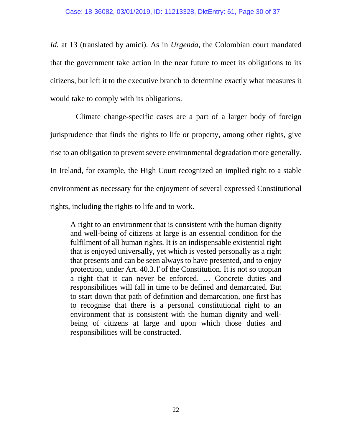*Id.* at 13 (translated by amici). As in *Urgenda*, the Colombian court mandated that the government take action in the near future to meet its obligations to its citizens, but left it to the executive branch to determine exactly what measures it would take to comply with its obligations.

Climate change-specific cases are a part of a larger body of foreign jurisprudence that finds the rights to life or property, among other rights, give rise to an obligation to prevent severe environmental degradation more generally. In Ireland, for example, the High Court recognized an implied right to a stable environment as necessary for the enjoyment of several expressed Constitutional rights, including the rights to life and to work.

A right to an environment that is consistent with the human dignity and well-being of citizens at large is an essential condition for the fulfilment of all human rights. It is an indispensable existential right that is enjoyed universally, yet which is vested personally as a right that presents and can be seen always to have presented, and to enjoy protection, under Art. 40.3.1̊of the Constitution. It is not so utopian a right that it can never be enforced. … Concrete duties and responsibilities will fall in time to be defined and demarcated. But to start down that path of definition and demarcation, one first has to recognise that there is a personal constitutional right to an environment that is consistent with the human dignity and wellbeing of citizens at large and upon which those duties and responsibilities will be constructed.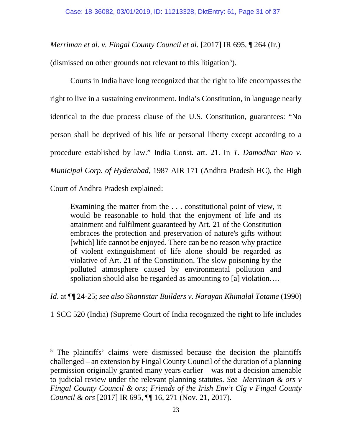*Merriman et al. v. Fingal County Council et al.* [2017] IR 695, ¶ 264 (Ir.)

(dismissed on other grounds not relevant to this litigation<sup>[5](#page-30-0)</sup>).

Courts in India have long recognized that the right to life encompasses the right to live in a sustaining environment. India's Constitution, in language nearly identical to the due process clause of the U.S. Constitution, guarantees: "No person shall be deprived of his life or personal liberty except according to a procedure established by law." India Const. art. 21. In *T. Damodhar Rao v. Municipal Corp. of Hyderabad*, 1987 AIR 171 (Andhra Pradesh HC), the High

Court of Andhra Pradesh explained:

 $\overline{\phantom{a}}$ 

Examining the matter from the . . . constitutional point of view, it would be reasonable to hold that the enjoyment of life and its attainment and fulfilment guaranteed by Art. 21 of the Constitution embraces the protection and preservation of nature's gifts without [which] life cannot be enjoyed. There can be no reason why practice of violent extinguishment of life alone should be regarded as violative of Art. 21 of the Constitution. The slow poisoning by the polluted atmosphere caused by environmental pollution and spoliation should also be regarded as amounting to [a] violation....

*Id*. at ¶¶ 24-25; *see also Shantistar Builders v. Narayan Khimalal Totame* (1990)

1 SCC 520 (India) (Supreme Court of India recognized the right to life includes

<span id="page-30-0"></span><sup>&</sup>lt;sup>5</sup> The plaintiffs' claims were dismissed because the decision the plaintiffs challenged – an extension by Fingal County Council of the duration of a planning permission originally granted many years earlier – was not a decision amenable to judicial review under the relevant planning statutes. *See Merriman & ors v Fingal County Council & ors; Friends of the Irish Env't Clg v Fingal County Council & ors* [2017] IR 695, ¶¶ 16, 271 (Nov. 21, 2017).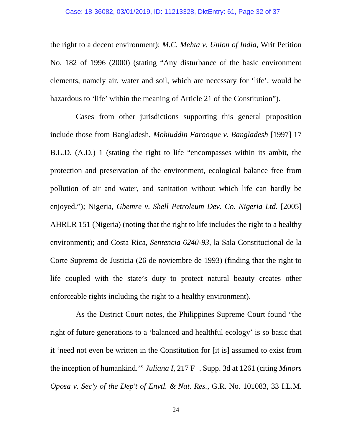the right to a decent environment); *M.C. Mehta v. Union of India*, Writ Petition No. 182 of 1996 (2000) (stating "Any disturbance of the basic environment elements, namely air, water and soil, which are necessary for 'life', would be hazardous to 'life' within the meaning of Article 21 of the Constitution'').

Cases from other jurisdictions supporting this general proposition include those from Bangladesh, *Mohiuddin Farooque v. Bangladesh* [1997] 17 B.L.D. (A.D.) 1 (stating the right to life "encompasses within its ambit, the protection and preservation of the environment, ecological balance free from pollution of air and water, and sanitation without which life can hardly be enjoyed."); Nigeria, *Gbemre v. Shell Petroleum Dev. Co. Nigeria Ltd.* [2005] AHRLR 151 (Nigeria) (noting that the right to life includes the right to a healthy environment); and Costa Rica, *Sentencia 6240-93*, la Sala Constitucional de la Corte Suprema de Justicia (26 de noviembre de 1993) (finding that the right to life coupled with the state's duty to protect natural beauty creates other enforceable rights including the right to a healthy environment).

As the District Court notes, the Philippines Supreme Court found "the right of future generations to a 'balanced and healthful ecology' is so basic that it 'need not even be written in the Constitution for [it is] assumed to exist from the inception of humankind.'" *Juliana I*, 217 F+. Supp. 3d at 1261 (citing *Minors Oposa v. Sec'y of the Dep't of Envtl. & Nat. Res.*, G.R. No. 101083, 33 I.L.M.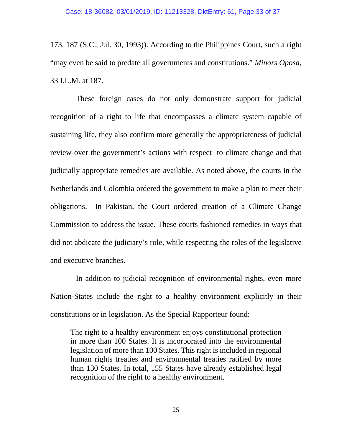173, 187 (S.C., Jul. 30, 1993)). According to the Philippines Court, such a right "may even be said to predate all governments and constitutions." *Minors Oposa*, 33 I.L.M. at 187.

These foreign cases do not only demonstrate support for judicial recognition of a right to life that encompasses a climate system capable of sustaining life, they also confirm more generally the appropriateness of judicial review over the government's actions with respect to climate change and that judicially appropriate remedies are available. As noted above, the courts in the Netherlands and Colombia ordered the government to make a plan to meet their obligations. In Pakistan, the Court ordered creation of a Climate Change Commission to address the issue. These courts fashioned remedies in ways that did not abdicate the judiciary's role, while respecting the roles of the legislative and executive branches.

In addition to judicial recognition of environmental rights, even more Nation-States include the right to a healthy environment explicitly in their constitutions or in legislation. As the Special Rapporteur found:

The right to a healthy environment enjoys constitutional protection in more than 100 States. It is incorporated into the environmental legislation of more than 100 States. This right is included in regional human rights treaties and environmental treaties ratified by more than 130 States. In total, 155 States have already established legal recognition of the right to a healthy environment.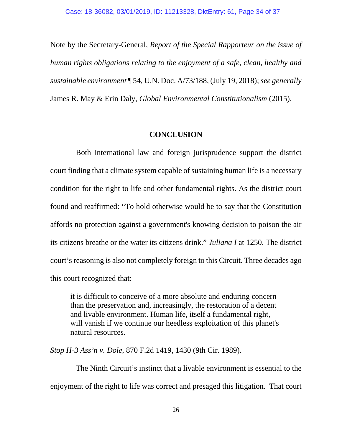Note by the Secretary-General, *Report of the Special Rapporteur on the issue of human rights obligations relating to the enjoyment of a safe, clean, healthy and sustainable environment* ¶ 54, U.N. Doc. A/73/188, (July 19, 2018); *see generally*  James R. May & Erin Daly, *Global Environmental Constitutionalism* (2015).

#### **CONCLUSION**

<span id="page-33-0"></span>Both international law and foreign jurisprudence support the district court finding that a climate system capable of sustaining human life is a necessary condition for the right to life and other fundamental rights. As the district court found and reaffirmed: "To hold otherwise would be to say that the Constitution affords no protection against a government's knowing decision to poison the air its citizens breathe or the water its citizens drink." *Juliana I* at 1250. The district court's reasoning is also not completely foreign to this Circuit. Three decades ago this court recognized that:

it is difficult to conceive of a more absolute and enduring concern than the preservation and, increasingly, the restoration of a decent and livable environment. Human life, itself a fundamental right, will vanish if we continue our heedless exploitation of this planet's natural resources.

*Stop H-3 Ass'n v. Dole*, 870 F.2d 1419, 1430 (9th Cir. 1989).

The Ninth Circuit's instinct that a livable environment is essential to the enjoyment of the right to life was correct and presaged this litigation. That court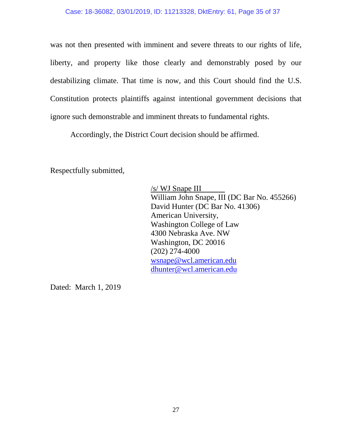#### Case: 18-36082, 03/01/2019, ID: 11213328, DktEntry: 61, Page 35 of 37

was not then presented with imminent and severe threats to our rights of life, liberty, and property like those clearly and demonstrably posed by our destabilizing climate. That time is now, and this Court should find the U.S. Constitution protects plaintiffs against intentional government decisions that ignore such demonstrable and imminent threats to fundamental rights.

Accordingly, the District Court decision should be affirmed.

Respectfully submitted,

/s/ WJ Snape III William John Snape, III (DC Bar No. 455266) David Hunter (DC Bar No. 41306) American University, Washington College of Law 4300 Nebraska Ave. NW Washington, DC 20016 (202) 274-4000 [wsnape@wcl.american.edu](mailto:wsnape@wcl.american.edu) [dhunter@wcl.american.edu](mailto:dhunter@wcl.american.edu)

Dated: March 1, 2019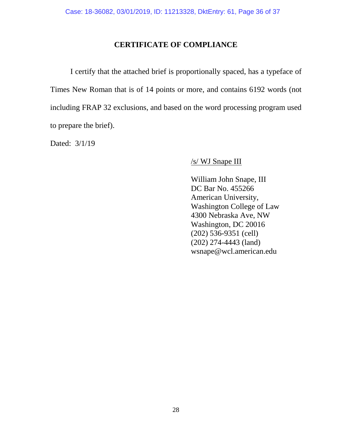### **CERTIFICATE OF COMPLIANCE**

<span id="page-35-0"></span>I certify that the attached brief is proportionally spaced, has a typeface of Times New Roman that is of 14 points or more, and contains 6192 words (not including FRAP 32 exclusions, and based on the word processing program used to prepare the brief).

Dated: 3/1/19

#### /s/ WJ Snape III

William John Snape, III DC Bar No. 455266 American University, Washington College of Law 4300 Nebraska Ave, NW Washington, DC 20016 (202) 536-9351 (cell) (202) 274-4443 (land) wsnape@wcl.american.edu